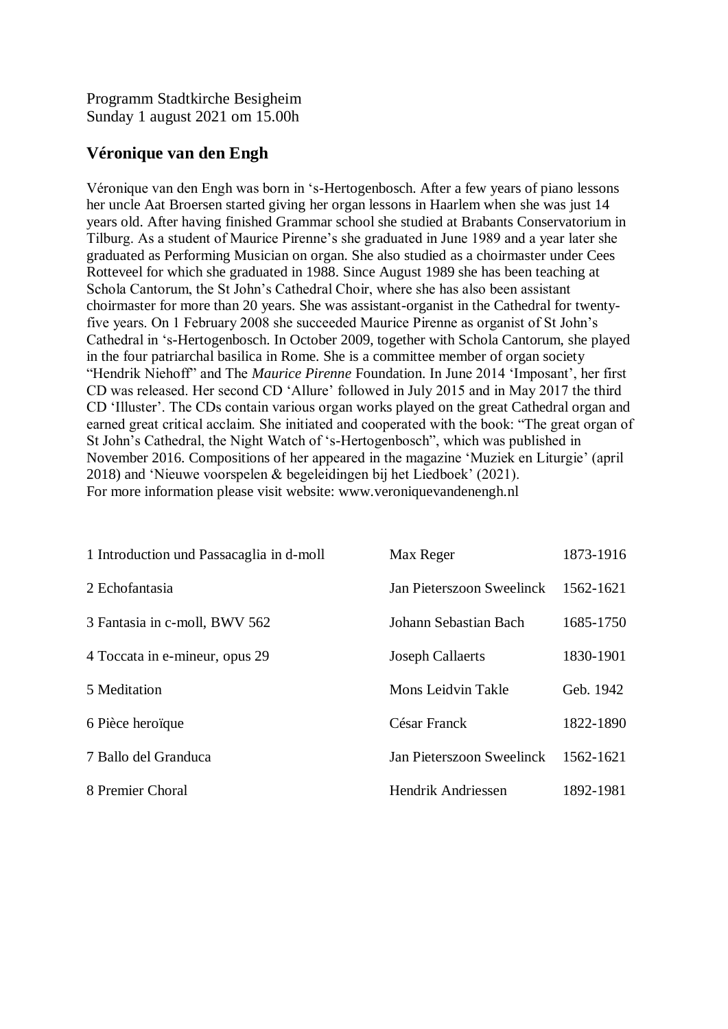Programm Stadtkirche Besigheim Sunday 1 august 2021 om 15.00h

## **Véronique van den Engh**

Véronique van den Engh was born in 's-Hertogenbosch. After a few years of piano lessons her uncle Aat Broersen started giving her organ lessons in Haarlem when she was just 14 years old. After having finished Grammar school she studied at Brabants Conservatorium in Tilburg. As a student of Maurice Pirenne's she graduated in June 1989 and a year later she graduated as Performing Musician on organ. She also studied as a choirmaster under Cees Rotteveel for which she graduated in 1988. Since August 1989 she has been teaching at Schola Cantorum, the St John's Cathedral Choir, where she has also been assistant choirmaster for more than 20 years. She was assistant-organist in the Cathedral for twentyfive years. On 1 February 2008 she succeeded Maurice Pirenne as organist of St John's Cathedral in 's-Hertogenbosch. In October 2009, together with Schola Cantorum, she played in the four patriarchal basilica in Rome. She is a committee member of organ society "Hendrik Niehoff" and The *Maurice Pirenne* Foundation. In June 2014 'Imposant', her first CD was released. Her second CD 'Allure' followed in July 2015 and in May 2017 the third CD 'Illuster'. The CDs contain various organ works played on the great Cathedral organ and earned great critical acclaim. She initiated and cooperated with the book: "The great organ of St John's Cathedral, the Night Watch of 's-Hertogenbosch", which was published in November 2016. Compositions of her appeared in the magazine 'Muziek en Liturgie' (april 2018) and 'Nieuwe voorspelen & begeleidingen bij het Liedboek' (2021). For more information please visit website: www.veroniquevandenengh.nl

| 1 Introduction und Passacaglia in d-moll | Max Reger                 | 1873-1916 |
|------------------------------------------|---------------------------|-----------|
| 2 Echofantasia                           | Jan Pieterszoon Sweelinck | 1562-1621 |
| 3 Fantasia in c-moll, BWV 562            | Johann Sebastian Bach     | 1685-1750 |
| 4 Toccata in e-mineur, opus 29           | <b>Joseph Callaerts</b>   | 1830-1901 |
| 5 Meditation                             | Mons Leidvin Takle        | Geb. 1942 |
| 6 Pièce heroïque                         | César Franck              | 1822-1890 |
| 7 Ballo del Granduca                     | Jan Pieterszoon Sweelinck | 1562-1621 |
| 8 Premier Choral                         | Hendrik Andriessen        | 1892-1981 |